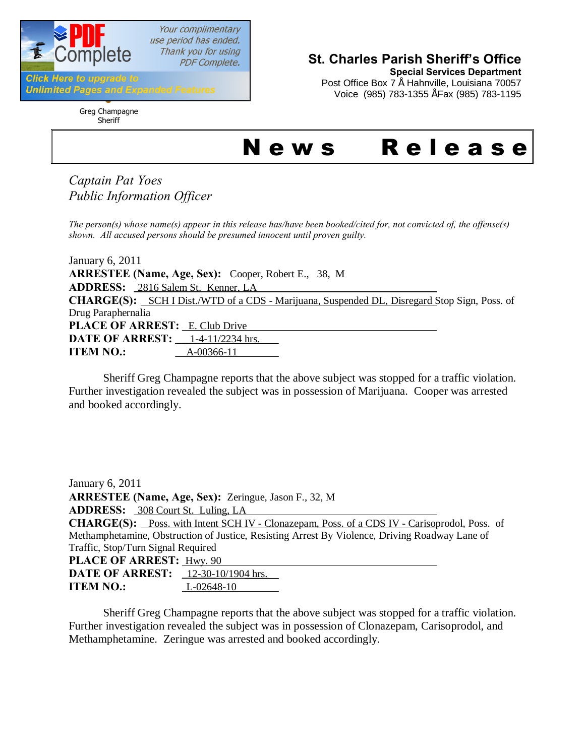

Your complimentary use period has ended. Thank you for using **PDF Complete.** 

#### **Click Here to upgrade to Unlimited Pages and Expanded Features**

Greg Champagne Sheriff

## **St. Charles Parish Sheriff's Office**

**Special Services Department** Post Office Box 7" Hahnville, Louisiana 70057 Voice (985) 783-1355 " Fax (985) 783-1195

# News Release

*Captain Pat Yoes Public Information Officer*

*The person(s) whose name(s) appear in this release has/have been booked/cited for, not convicted of, the offense(s) shown. All accused persons should be presumed innocent until proven guilty.*

January 6, 2011 **ARRESTEE (Name, Age, Sex):** Cooper, Robert E., 38, M **ADDRESS:** 2816 Salem St. Kenner, LA CHARGE(S): SCH I Dist./WTD of a CDS - Marijuana, Suspended DL, Disregard Stop Sign, Poss. of Drug Paraphernalia PLACE OF ARREST: **E. Club Drive DATE OF ARREST:** 1-4-11/2234 hrs. **ITEM NO.:** A-00366-11

Sheriff Greg Champagne reports that the above subject was stopped for a traffic violation. Further investigation revealed the subject was in possession of Marijuana. Cooper was arrested and booked accordingly.

| January 6, 2011                                                                                |
|------------------------------------------------------------------------------------------------|
| <b>ARRESTEE (Name, Age, Sex):</b> Zeringue, Jason F., 32, M                                    |
| ADDRESS: 308 Court St. Luling, LA                                                              |
| CHARGE(S): Poss. with Intent SCH IV - Clonazepam, Poss. of a CDS IV - Carisoprodol, Poss. of   |
| Methamphetamine, Obstruction of Justice, Resisting Arrest By Violence, Driving Roadway Lane of |
| Traffic, Stop/Turn Signal Required                                                             |
| <b>PLACE OF ARREST: Hwy. 90</b>                                                                |
| <b>DATE OF ARREST:</b> 12-30-10/1904 hrs.                                                      |
| <b>ITEM NO.:</b><br>L-02648-10                                                                 |

Sheriff Greg Champagne reports that the above subject was stopped for a traffic violation. Further investigation revealed the subject was in possession of Clonazepam, Carisoprodol, and Methamphetamine. Zeringue was arrested and booked accordingly.